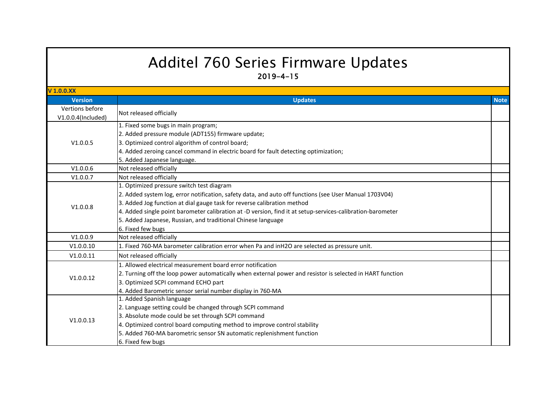## Additel 760 Series Firmware Updates 2019-4-15

| $V$ 1.0.0.XX                          |                                                                                                            |             |  |
|---------------------------------------|------------------------------------------------------------------------------------------------------------|-------------|--|
| <b>Version</b>                        | <b>Updates</b>                                                                                             | <b>Note</b> |  |
| Vertions before<br>V1.0.0.4(Included) | Not released officially                                                                                    |             |  |
| V1.0.0.5                              | 1. Fixed some bugs in main program;                                                                        |             |  |
|                                       | 2. Added pressure module (ADT155) firmware update;                                                         |             |  |
|                                       | 3. Optimized control algorithm of control board;                                                           |             |  |
|                                       | 4. Added zeroing cancel command in electric board for fault detecting optimization;                        |             |  |
|                                       | 5. Added Japanese language.                                                                                |             |  |
| V1.0.0.6                              | Not released officially                                                                                    |             |  |
| V1.0.0.7                              | Not released officially                                                                                    |             |  |
| V1.0.0.8                              | 1. Optimized pressure switch test diagram                                                                  |             |  |
|                                       | 2. Added system log, error notification, safety data, and auto off functions (see User Manual 1703V04)     |             |  |
|                                       | 3. Added Jog function at dial gauge task for reverse calibration method                                    |             |  |
|                                       | 4. Added single point barometer calibration at -D version, find it at setup-services-calibration-barometer |             |  |
|                                       | 5. Added Japanese, Russian, and traditional Chinese language                                               |             |  |
|                                       | 6. Fixed few bugs                                                                                          |             |  |
| V1.0.0.9                              | Not released officially                                                                                    |             |  |
| V1.0.0.10                             | 1. Fixed 760-MA barometer calibration error when Pa and inH2O are selected as pressure unit.               |             |  |
| V1.0.0.11                             | Not released officially                                                                                    |             |  |
| V1.0.0.12                             | 1. Allowed electrical measurement board error notification                                                 |             |  |
|                                       | 2. Turning off the loop power automatically when external power and resistor is selected in HART function  |             |  |
|                                       | 3. Optimized SCPI command ECHO part                                                                        |             |  |
|                                       | 4. Added Barometric sensor serial number display in 760-MA                                                 |             |  |
| V1.0.0.13                             | 1. Added Spanish language                                                                                  |             |  |
|                                       | 2. Language setting could be changed through SCPI command                                                  |             |  |
|                                       | 3. Absolute mode could be set through SCPI command                                                         |             |  |
|                                       | 4. Optimized control board computing method to improve control stability                                   |             |  |
|                                       | 5. Added 760-MA barometric sensor SN automatic replenishment function                                      |             |  |
|                                       | 6. Fixed few bugs                                                                                          |             |  |